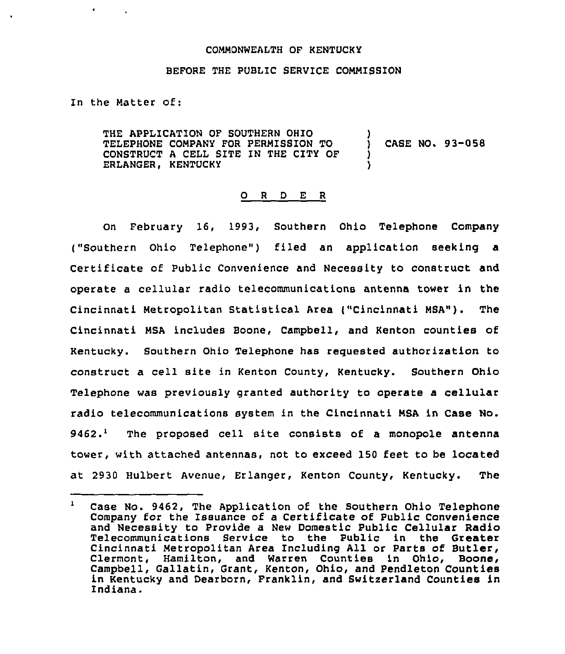## COMMONWEALTH OF KENTUCKY

## BEFORE THE PUBLIC SERVICE COMMISSION

In the Matter of:

THE APPLICATION OF SOUTHERN OHIO TELEPHONE COMPANY FOR PERMISSION TO CONSTRUCT <sup>A</sup> CELL SITE IN THE CITY OF ERLANGER. KENTUCKY ) ) CASE NO. 93-058 ) )

## 0 <sup>R</sup> <sup>D</sup> E <sup>R</sup>

On February 16, 1993, Southern Ohio Telephone Company ("Southern Ohio Telephone") filed an application seeking a Certificate of Public Convenience and Necessity to construct and operate a cellular radio telecommunications antenna tower in the Cincinnati Metropolitan Statistical Area ("Cincinnati MSA"). The Cincinnati MSA includes Boone, Campbell, and Kenton counties of Kentucky. Southern Ohio Telephone has requested authorization to construct a cell site in Kenton County, Kentucky. Southern Ohio Telephone was previously granted authority to operate a cellular radio telecommunications system in the Cincinnati MSA in Case No.  $9462.<sup>1</sup>$  The proposed cell site consists of a monopole antenna tower, with attached antennas, not to exceed 150 feet to be located at 2930 Hulbert Avenue, Erlanger, Kenton County, Kentucky. The

 $\mathbf{1}$ case No. 9462, The Application of the southern Ohio Telephone Company for the Issuance of a Certificate of Public Convenience and Necessity to Provide a New Domestic Public Cellular Radio Telecommunications Service to the Public in the Greater Cincinnati Metropolitan Area Including All or Parts of Butler, Clermont, Hamilton, and Warren Counties in Ohio, Boone, Campbell, Gallatin, Grant, Kenton, Ohio, and Pendleton Counties in Kentucky and Dearborn, Franklin, and Switzerland Counties in Indiana.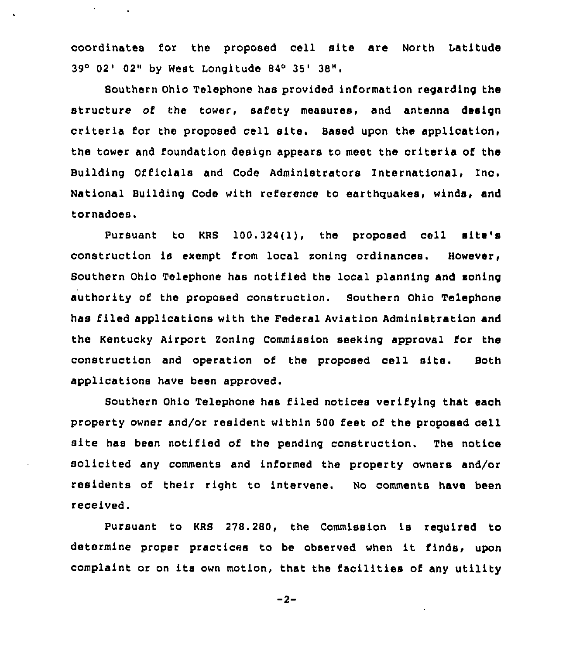coordinates for the proposed cell site are North Latitude 39° 02' 02" by West Longitude 84° 35' 38".

Southern Ohio Telephone has provided information regarding the structure of the tower, safety measures, and antenna design criteria for the proposed cell site. Based upon the application, the tower and foundation design appears to meet the criteria of the Building Officials and Code Administrators International, Ino. National Building Code with reference to earthquakes, winds, and tornadoes.

Pursuant to KRS 100.324(l), the proposed cell site's construction is exempt from local soning ordinances. However, Southern Ohio Telephone has notified the local planning and soning authority of the proposed construction. Southern Ohio Telephone has filed applications with the Federal Aviation Administration and the Kentucky Airport Zoning Commission seeking approval for the construction and operation of the proposed cell site. Both applications have been approved.

Southern Ohio Telephone has filed notices verifying that each property owner and/or resident within 500 feet of the proposed cell site has been notified of the pending construction. The notice solicited any comments and informed the property owners and/or residents of their right to intervene. No comments have been received.

Pursuant to KRS 278.280, the Commission is required to determine proper practices to be observed when it finds, upon complaint or on its own motion, that the facilities of any utility

 $-2-$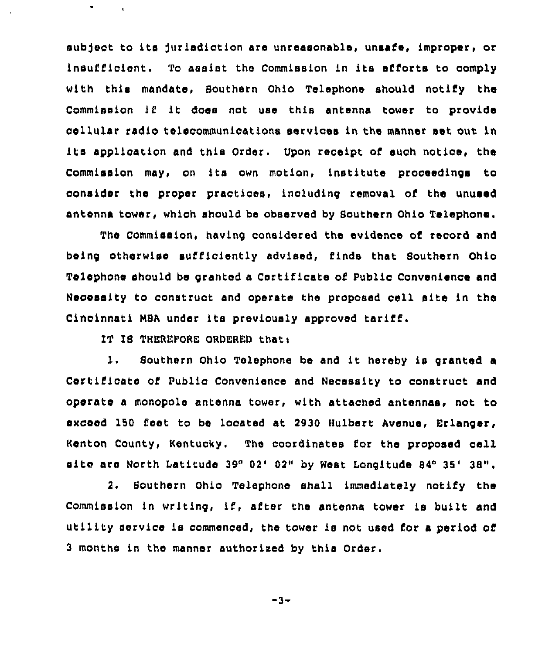subject to its jurisdiction are unreasonable, unsafe, improper, or insufficient. To assist the Commission in its efforts to comply with this mandate, Southern Ohio Telephone should notify the Commission lf it does not use this antenna tower to provide cellular radio telecommunications services in the manner set out in ita application and this Order. Upon receipt of such notice, the Commission may, on its own motion, institute proceedings to consider the proper practices, including removal of the unused antenna tower, which should be observed by Southern Ohio Telephone.

The Commission, having considered the evidence of record and being otherwise sufficiently advised, finds that Southern Ohio Telephone should be granted <sup>a</sup> Certificate of Public Convenience and Necessity to construct and operate the proposed cell site in the Cincinnati MSA under its previously approved tariff.

IT IS THEREFORE ORDERED that:

 $\bullet$ 

1. Southern Ohio Telephone be and it hereby is granted a Certificate of Public Convenience and Necessity to construct and operate a monopole antenna tower, with attached antennas, not to exceed 150 feet to be located at 2930 Hulbert Avenue, Erlanger, Kenton County, Kentucky. The coordinates for the proposed cell site are North Latitude 39°02' 02" by West Longitude 84°35' 38".

2. Southern Ohio Telephone shall immediately notify the Commission in writing, if, after the antenna tower is built and utility service is commenced, the tower is not used for a period of 3 months in the manner authorised by this Order.

-3-